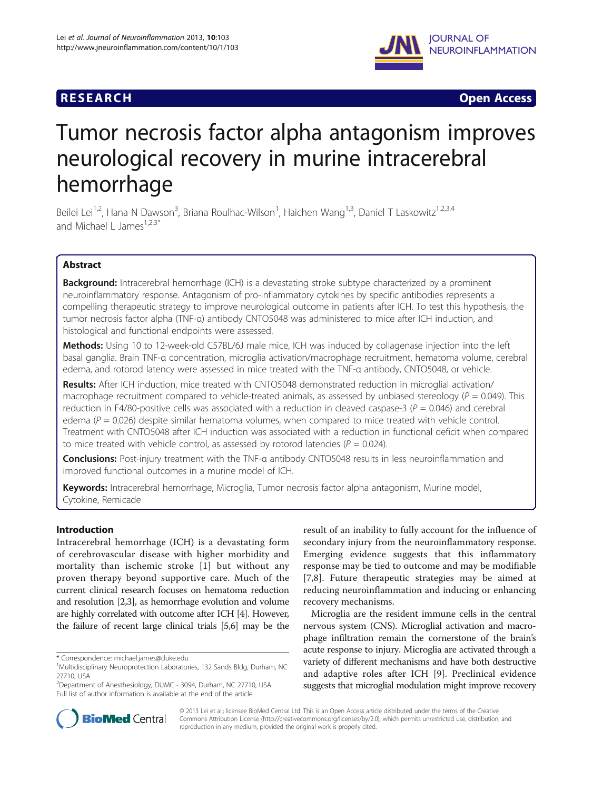## **RESEARCH RESEARCH** *CHECKER CHECKER CHECKER CHECKER CHECKER CHECKER CHECKER CHECKER CHECKER CHECKER CHECKER*



# Tumor necrosis factor alpha antagonism improves neurological recovery in murine intracerebral hemorrhage

Beilei Lei<sup>1,2</sup>, Hana N Dawson<sup>3</sup>, Briana Roulhac-Wilson<sup>1</sup>, Haichen Wang<sup>1,3</sup>, Daniel T Laskowitz<sup>1,2,3,4</sup> and Michael L James<sup>1,2,3\*</sup>

## Abstract

**Background:** Intracerebral hemorrhage (ICH) is a devastating stroke subtype characterized by a prominent neuroinflammatory response. Antagonism of pro-inflammatory cytokines by specific antibodies represents a compelling therapeutic strategy to improve neurological outcome in patients after ICH. To test this hypothesis, the tumor necrosis factor alpha (TNF-α) antibody CNTO5048 was administered to mice after ICH induction, and histological and functional endpoints were assessed.

Methods: Using 10 to 12-week-old C57BL/6J male mice, ICH was induced by collagenase injection into the left basal ganglia. Brain TNF-α concentration, microglia activation/macrophage recruitment, hematoma volume, cerebral edema, and rotorod latency were assessed in mice treated with the TNF-α antibody, CNTO5048, or vehicle.

Results: After ICH induction, mice treated with CNTO5048 demonstrated reduction in microglial activation/ macrophage recruitment compared to vehicle-treated animals, as assessed by unbiased stereology ( $P = 0.049$ ). This reduction in F4/80-positive cells was associated with a reduction in cleaved caspase-3 ( $P = 0.046$ ) and cerebral edema ( $P = 0.026$ ) despite similar hematoma volumes, when compared to mice treated with vehicle control. Treatment with CNTO5048 after ICH induction was associated with a reduction in functional deficit when compared to mice treated with vehicle control, as assessed by rotorod latencies ( $P = 0.024$ ).

Conclusions: Post-injury treatment with the TNF-a antibody CNTO5048 results in less neuroinflammation and improved functional outcomes in a murine model of ICH.

Keywords: Intracerebral hemorrhage, Microglia, Tumor necrosis factor alpha antagonism, Murine model, Cytokine, Remicade

## Introduction

Intracerebral hemorrhage (ICH) is a devastating form of cerebrovascular disease with higher morbidity and mortality than ischemic stroke [[1\]](#page-6-0) but without any proven therapy beyond supportive care. Much of the current clinical research focuses on hematoma reduction and resolution [[2,3](#page-6-0)], as hemorrhage evolution and volume are highly correlated with outcome after ICH [\[4\]](#page-6-0). However, the failure of recent large clinical trials [\[5,6](#page-6-0)] may be the

result of an inability to fully account for the influence of secondary injury from the neuroinflammatory response. Emerging evidence suggests that this inflammatory response may be tied to outcome and may be modifiable [[7,8](#page-7-0)]. Future therapeutic strategies may be aimed at reducing neuroinflammation and inducing or enhancing recovery mechanisms.

Microglia are the resident immune cells in the central nervous system (CNS). Microglial activation and macrophage infiltration remain the cornerstone of the brain's acute response to injury. Microglia are activated through a variety of different mechanisms and have both destructive and adaptive roles after ICH [[9\]](#page-7-0). Preclinical evidence suggests that microglial modulation might improve recovery



© 2013 Lei et al.; licensee BioMed Central Ltd. This is an Open Access article distributed under the terms of the Creative Commons Attribution License [\(http://creativecommons.org/licenses/by/2.0\)](http://creativecommons.org/licenses/by/2.0), which permits unrestricted use, distribution, and reproduction in any medium, provided the original work is properly cited.

<sup>\*</sup> Correspondence: [michael.james@duke.edu](mailto:michael.james@duke.edu) <sup>1</sup>

<sup>&</sup>lt;sup>1</sup>Multidisciplinary Neuroprotection Laboratories, 132 Sands Bldg, Durham, NC 27710, USA

<sup>2</sup> Department of Anesthesiology, DUMC - 3094, Durham, NC 27710, USA Full list of author information is available at the end of the article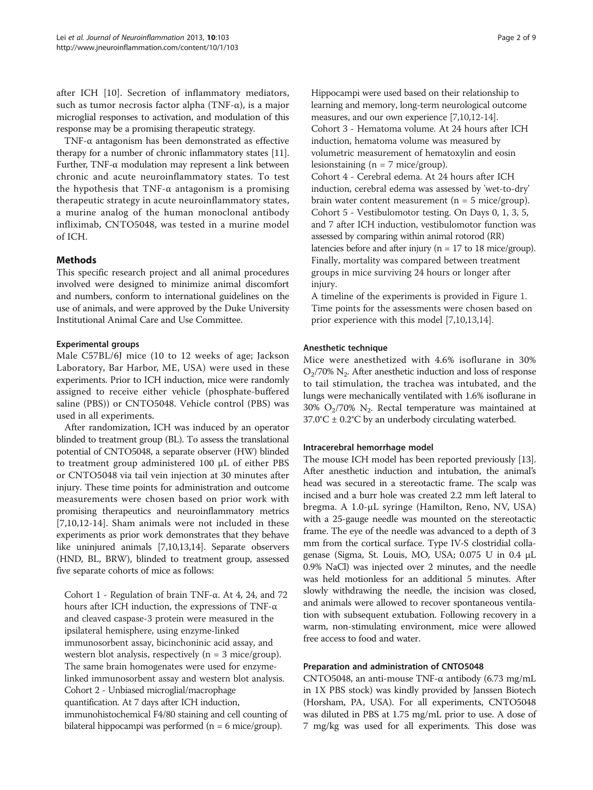after ICH [\[10](#page-7-0)]. Secretion of inflammatory mediators, such as tumor necrosis factor alpha (TNF- $\alpha$ ), is a major microglial responses to activation, and modulation of this response may be a promising therapeutic strategy.

TNF-α antagonism has been demonstrated as effective therapy for a number of chronic inflammatory states [[11](#page-7-0)]. Further, TNF-α modulation may represent a link between chronic and acute neuroinflammatory states. To test the hypothesis that TNF- $\alpha$  antagonism is a promising therapeutic strategy in acute neuroinflammatory states, a murine analog of the human monoclonal antibody infliximab, CNTO5048, was tested in a murine model of ICH.

## Methods

This specific research project and all animal procedures involved were designed to minimize animal discomfort and numbers, conform to international guidelines on the use of animals, and were approved by the Duke University Institutional Animal Care and Use Committee.

## Experimental groups

Male C57BL/6J mice (10 to 12 weeks of age; Jackson Laboratory, Bar Harbor, ME, USA) were used in these experiments. Prior to ICH induction, mice were randomly assigned to receive either vehicle (phosphate-buffered saline (PBS)) or CNTO5048. Vehicle control (PBS) was used in all experiments.

After randomization, ICH was induced by an operator blinded to treatment group (BL). To assess the translational potential of CNTO5048, a separate observer (HW) blinded to treatment group administered 100 μL of either PBS or CNTO5048 via tail vein injection at 30 minutes after injury. These time points for administration and outcome measurements were chosen based on prior work with promising therapeutics and neuroinflammatory metrics [[7,10,12-14](#page-7-0)]. Sham animals were not included in these experiments as prior work demonstrates that they behave like uninjured animals [[7,10,13,14](#page-7-0)]. Separate observers (HND, BL, BRW), blinded to treatment group, assessed five separate cohorts of mice as follows:

Cohort 1 - Regulation of brain TNF-α. At 4, 24, and 72 hours after ICH induction, the expressions of TNF-α and cleaved caspase-3 protein were measured in the ipsilateral hemisphere, using enzyme-linked immunosorbent assay, bicinchoninic acid assay, and western blot analysis, respectively ( $n = 3$  mice/group). The same brain homogenates were used for enzymelinked immunosorbent assay and western blot analysis. Cohort 2 - Unbiased microglial/macrophage quantification. At 7 days after ICH induction, immunohistochemical F4/80 staining and cell counting of bilateral hippocampi was performed ( $n = 6$  mice/group).

Hippocampi were used based on their relationship to learning and memory, long-term neurological outcome measures, and our own experience [[7,10,12-14](#page-7-0)]. Cohort 3 - Hematoma volume. At 24 hours after ICH induction, hematoma volume was measured by volumetric measurement of hematoxylin and eosin lesionstaining ( $n = 7$  mice/group). Cohort 4 - Cerebral edema. At 24 hours after ICH induction, cerebral edema was assessed by 'wet-to-dry' brain water content measurement ( $n = 5$  mice/group). Cohort 5 - Vestibulomotor testing. On Days 0, 1, 3, 5, and 7 after ICH induction, vestibulomotor function was assessed by comparing within animal rotorod (RR) latencies before and after injury (n = 17 to 18 mice/group). Finally, mortality was compared between treatment groups in mice surviving 24 hours or longer after injury.

A timeline of the experiments is provided in Figure [1.](#page-2-0) Time points for the assessments were chosen based on prior experience with this model [[7,10,13,14\]](#page-7-0).

## Anesthetic technique

Mice were anesthetized with 4.6% isoflurane in 30% O2/70% N2. After anesthetic induction and loss of response to tail stimulation, the trachea was intubated, and the lungs were mechanically ventilated with 1.6% isoflurane in  $30\%$  O<sub>2</sub>/70% N<sub>2</sub>. Rectal temperature was maintained at  $37.0^{\circ}$ C ± 0.2 $^{\circ}$ C by an underbody circulating waterbed.

## Intracerebral hemorrhage model

The mouse ICH model has been reported previously [[13](#page-7-0)]. After anesthetic induction and intubation, the animal's head was secured in a stereotactic frame. The scalp was incised and a burr hole was created 2.2 mm left lateral to bregma. A 1.0-μL syringe (Hamilton, Reno, NV, USA) with a 25-gauge needle was mounted on the stereotactic frame. The eye of the needle was advanced to a depth of 3 mm from the cortical surface. Type IV-S clostridial collagenase (Sigma, St. Louis, MO, USA; 0.075 U in 0.4 μL 0.9% NaCl) was injected over 2 minutes, and the needle was held motionless for an additional 5 minutes. After slowly withdrawing the needle, the incision was closed, and animals were allowed to recover spontaneous ventilation with subsequent extubation. Following recovery in a warm, non-stimulating environment, mice were allowed free access to food and water.

## Preparation and administration of CNTO5048

CNTO5048, an anti-mouse TNF-α antibody (6.73 mg/mL in 1X PBS stock) was kindly provided by Janssen Biotech (Horsham, PA, USA). For all experiments, CNTO5048 was diluted in PBS at 1.75 mg/mL prior to use. A dose of 7 mg/kg was used for all experiments. This dose was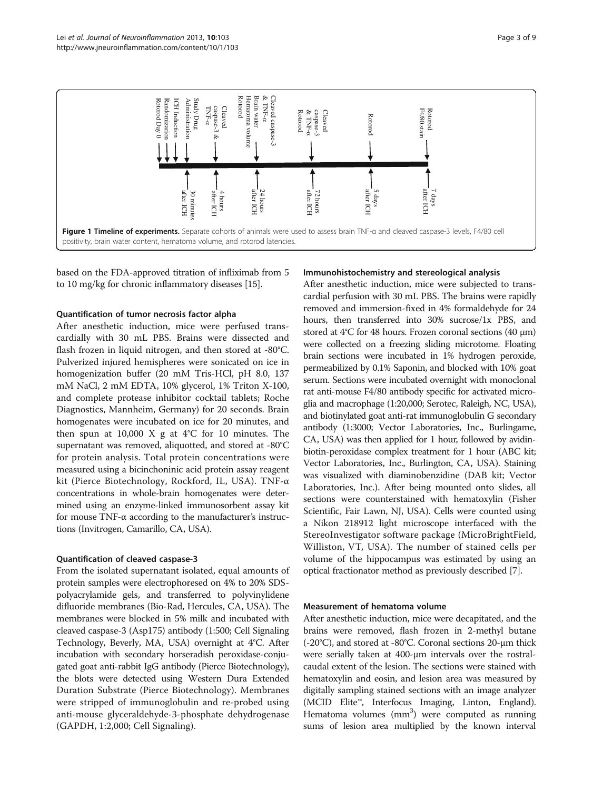<span id="page-2-0"></span>

based on the FDA-approved titration of infliximab from 5 to 10 mg/kg for chronic inflammatory diseases [[15\]](#page-7-0).

#### Quantification of tumor necrosis factor alpha

After anesthetic induction, mice were perfused transcardially with 30 mL PBS. Brains were dissected and flash frozen in liquid nitrogen, and then stored at -80°C. Pulverized injured hemispheres were sonicated on ice in homogenization buffer (20 mM Tris-HCl, pH 8.0, 137 mM NaCl, 2 mM EDTA, 10% glycerol, 1% Triton X-100, and complete protease inhibitor cocktail tablets; Roche Diagnostics, Mannheim, Germany) for 20 seconds. Brain homogenates were incubated on ice for 20 minutes, and then spun at 10,000 X g at  $4^{\circ}$ C for 10 minutes. The supernatant was removed, aliquotted, and stored at -80°C for protein analysis. Total protein concentrations were measured using a bicinchoninic acid protein assay reagent kit (Pierce Biotechnology, Rockford, IL, USA). TNF-α concentrations in whole-brain homogenates were determined using an enzyme-linked immunosorbent assay kit for mouse TNF-α according to the manufacturer's instructions (Invitrogen, Camarillo, CA, USA).

## Quantification of cleaved caspase-3

From the isolated supernatant isolated, equal amounts of protein samples were electrophoresed on 4% to 20% SDSpolyacrylamide gels, and transferred to polyvinylidene difluoride membranes (Bio-Rad, Hercules, CA, USA). The membranes were blocked in 5% milk and incubated with cleaved caspase-3 (Asp175) antibody (1:500; Cell Signaling Technology, Beverly, MA, USA) overnight at 4°C. After incubation with secondary horseradish peroxidase-conjugated goat anti-rabbit IgG antibody (Pierce Biotechnology), the blots were detected using Western Dura Extended Duration Substrate (Pierce Biotechnology). Membranes were stripped of immunoglobulin and re-probed using anti-mouse glyceraldehyde-3-phosphate dehydrogenase (GAPDH, 1:2,000; Cell Signaling).

#### Immunohistochemistry and stereological analysis

After anesthetic induction, mice were subjected to transcardial perfusion with 30 mL PBS. The brains were rapidly removed and immersion-fixed in 4% formaldehyde for 24 hours, then transferred into 30% sucrose/1x PBS, and stored at 4°C for 48 hours. Frozen coronal sections (40 μm) were collected on a freezing sliding microtome. Floating brain sections were incubated in 1% hydrogen peroxide, permeabilized by 0.1% Saponin, and blocked with 10% goat serum. Sections were incubated overnight with monoclonal rat anti-mouse F4/80 antibody specific for activated microglia and macrophage (1:20,000; Serotec, Raleigh, NC, USA), and biotinylated goat anti-rat immunoglobulin G secondary antibody (1:3000; Vector Laboratories, Inc., Burlingame, CA, USA) was then applied for 1 hour, followed by avidinbiotin-peroxidase complex treatment for 1 hour (ABC kit; Vector Laboratories, Inc., Burlington, CA, USA). Staining was visualized with diaminobenzidine (DAB kit; Vector Laboratories, Inc.). After being mounted onto slides, all sections were counterstained with hematoxylin (Fisher Scientific, Fair Lawn, NJ, USA). Cells were counted using a Nikon 218912 light microscope interfaced with the StereoInvestigator software package (MicroBrightField, Williston, VT, USA). The number of stained cells per volume of the hippocampus was estimated by using an optical fractionator method as previously described [\[7\]](#page-7-0).

#### Measurement of hematoma volume

After anesthetic induction, mice were decapitated, and the brains were removed, flash frozen in 2-methyl butane (-20°C), and stored at -80°C. Coronal sections 20-μm thick were serially taken at 400-μm intervals over the rostralcaudal extent of the lesion. The sections were stained with hematoxylin and eosin, and lesion area was measured by digitally sampling stained sections with an image analyzer (MCID Elite™, Interfocus Imaging, Linton, England). Hematoma volumes (mm<sup>3</sup>) were computed as running sums of lesion area multiplied by the known interval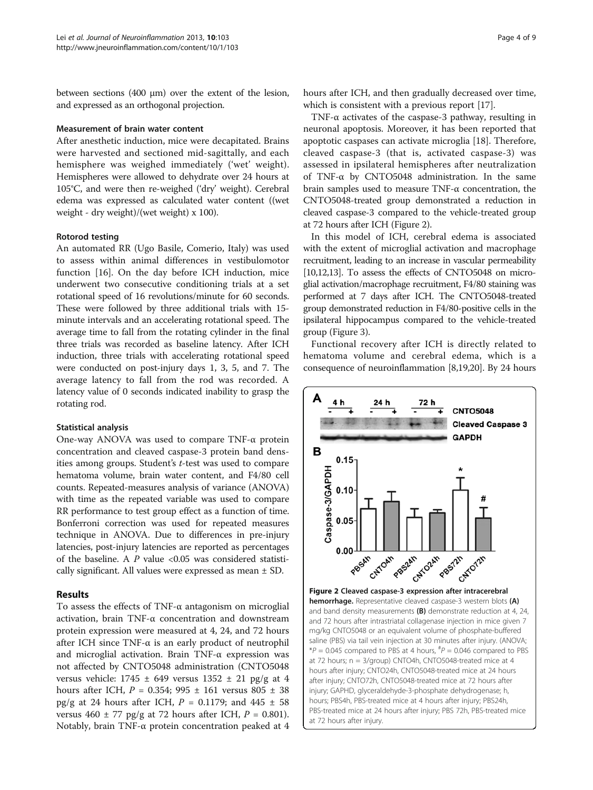between sections (400 μm) over the extent of the lesion, and expressed as an orthogonal projection.

## Measurement of brain water content

After anesthetic induction, mice were decapitated. Brains were harvested and sectioned mid-sagittally, and each hemisphere was weighed immediately ('wet' weight). Hemispheres were allowed to dehydrate over 24 hours at 105°C, and were then re-weighed ('dry' weight). Cerebral edema was expressed as calculated water content ((wet weight - dry weight)/(wet weight) x 100).

#### Rotorod testing

An automated RR (Ugo Basile, Comerio, Italy) was used to assess within animal differences in vestibulomotor function [[16\]](#page-7-0). On the day before ICH induction, mice underwent two consecutive conditioning trials at a set rotational speed of 16 revolutions/minute for 60 seconds. These were followed by three additional trials with 15 minute intervals and an accelerating rotational speed. The average time to fall from the rotating cylinder in the final three trials was recorded as baseline latency. After ICH induction, three trials with accelerating rotational speed were conducted on post-injury days 1, 3, 5, and 7. The average latency to fall from the rod was recorded. A latency value of 0 seconds indicated inability to grasp the rotating rod.

#### Statistical analysis

One-way ANOVA was used to compare TNF-α protein concentration and cleaved caspase-3 protein band densities among groups. Student's t-test was used to compare hematoma volume, brain water content, and F4/80 cell counts. Repeated-measures analysis of variance (ANOVA) with time as the repeated variable was used to compare RR performance to test group effect as a function of time. Bonferroni correction was used for repeated measures technique in ANOVA. Due to differences in pre-injury latencies, post-injury latencies are reported as percentages of the baseline. A  $P$  value <0.05 was considered statistically significant. All values were expressed as mean ± SD.

#### Results

To assess the effects of TNF-α antagonism on microglial activation, brain TNF-α concentration and downstream protein expression were measured at 4, 24, and 72 hours after ICH since TNF-α is an early product of neutrophil and microglial activation. Brain TNF-α expression was not affected by CNTO5048 administration (CNTO5048 versus vehicle:  $1745 \pm 649$  versus  $1352 \pm 21$  pg/g at 4 hours after ICH, P = 0.354; 995 ± 161 versus 805 ± 38 pg/g at 24 hours after ICH,  $P = 0.1179$ ; and  $445 \pm 58$ versus  $460 \pm 77$  pg/g at 72 hours after ICH,  $P = 0.801$ ). Notably, brain TNF-α protein concentration peaked at 4 hours after ICH, and then gradually decreased over time, which is consistent with a previous report [[17](#page-7-0)].

TNF- $\alpha$  activates of the caspase-3 pathway, resulting in neuronal apoptosis. Moreover, it has been reported that apoptotic caspases can activate microglia [\[18\]](#page-7-0). Therefore, cleaved caspase-3 (that is, activated caspase-3) was assessed in ipsilateral hemispheres after neutralization of TNF-α by CNTO5048 administration. In the same brain samples used to measure TNF-α concentration, the CNTO5048-treated group demonstrated a reduction in cleaved caspase-3 compared to the vehicle-treated group at 72 hours after ICH (Figure 2).

In this model of ICH, cerebral edema is associated with the extent of microglial activation and macrophage recruitment, leading to an increase in vascular permeability [[10,12,13\]](#page-7-0). To assess the effects of CNTO5048 on microglial activation/macrophage recruitment, F4/80 staining was performed at 7 days after ICH. The CNTO5048-treated group demonstrated reduction in F4/80-positive cells in the ipsilateral hippocampus compared to the vehicle-treated group (Figure [3\)](#page-4-0).

Functional recovery after ICH is directly related to hematoma volume and cerebral edema, which is a consequence of neuroinflammation [\[8,19,20\]](#page-7-0). By 24 hours

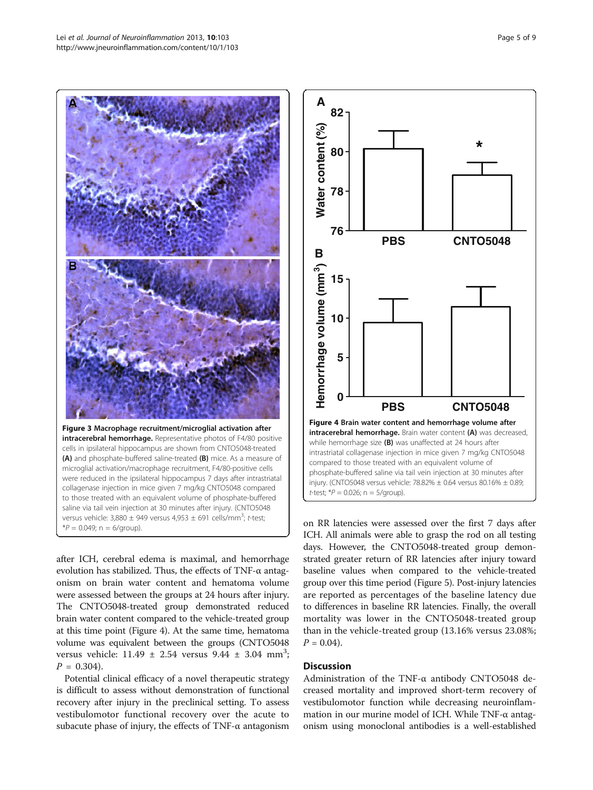<span id="page-4-0"></span>

after ICH, cerebral edema is maximal, and hemorrhage evolution has stabilized. Thus, the effects of TNF-α antagonism on brain water content and hematoma volume were assessed between the groups at 24 hours after injury. The CNTO5048-treated group demonstrated reduced brain water content compared to the vehicle-treated group at this time point (Figure 4). At the same time, hematoma volume was equivalent between the groups (CNTO5048 versus vehicle:  $11.49 \pm 2.54$  versus  $9.44 \pm 3.04$  mm<sup>3</sup>;  $P = 0.304$ .

Potential clinical efficacy of a novel therapeutic strategy is difficult to assess without demonstration of functional recovery after injury in the preclinical setting. To assess vestibulomotor functional recovery over the acute to subacute phase of injury, the effects of TNF-α antagonism



on RR latencies were assessed over the first 7 days after ICH. All animals were able to grasp the rod on all testing days. However, the CNTO5048-treated group demonstrated greater return of RR latencies after injury toward baseline values when compared to the vehicle-treated group over this time period (Figure [5](#page-5-0)). Post-injury latencies are reported as percentages of the baseline latency due to differences in baseline RR latencies. Finally, the overall mortality was lower in the CNTO5048-treated group than in the vehicle-treated group (13.16% versus 23.08%;  $P = 0.04$ .

## **Discussion**

Administration of the TNF-α antibody CNTO5048 decreased mortality and improved short-term recovery of vestibulomotor function while decreasing neuroinflammation in our murine model of ICH. While TNF-α antagonism using monoclonal antibodies is a well-established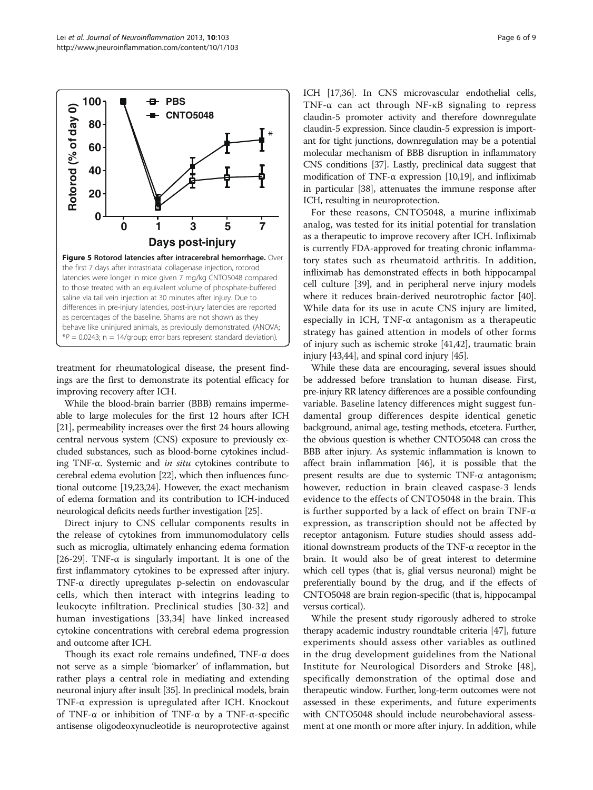<span id="page-5-0"></span>

treatment for rheumatological disease, the present findings are the first to demonstrate its potential efficacy for improving recovery after ICH.

While the blood-brain barrier (BBB) remains impermeable to large molecules for the first 12 hours after ICH [[21](#page-7-0)], permeability increases over the first 24 hours allowing central nervous system (CNS) exposure to previously excluded substances, such as blood-borne cytokines including TNF-α. Systemic and in situ cytokines contribute to cerebral edema evolution [[22](#page-7-0)], which then influences functional outcome [[19,23,24](#page-7-0)]. However, the exact mechanism of edema formation and its contribution to ICH-induced neurological deficits needs further investigation [[25](#page-7-0)].

Direct injury to CNS cellular components results in the release of cytokines from immunomodulatory cells such as microglia, ultimately enhancing edema formation [[26](#page-7-0)-[29\]](#page-7-0). TNF- $\alpha$  is singularly important. It is one of the first inflammatory cytokines to be expressed after injury. TNF-α directly upregulates p-selectin on endovascular cells, which then interact with integrins leading to leukocyte infiltration. Preclinical studies [[30-32\]](#page-7-0) and human investigations [\[33,34](#page-7-0)] have linked increased cytokine concentrations with cerebral edema progression and outcome after ICH.

Though its exact role remains undefined, TNF-α does not serve as a simple 'biomarker' of inflammation, but rather plays a central role in mediating and extending neuronal injury after insult [[35](#page-7-0)]. In preclinical models, brain TNF-α expression is upregulated after ICH. Knockout of TNF-α or inhibition of TNF-α by a TNF-α-specific antisense oligodeoxynucleotide is neuroprotective against ICH [[17,36](#page-7-0)]. In CNS microvascular endothelial cells, TNF-α can act through NF-κB signaling to repress claudin-5 promoter activity and therefore downregulate claudin-5 expression. Since claudin-5 expression is important for tight junctions, downregulation may be a potential molecular mechanism of BBB disruption in inflammatory CNS conditions [\[37\]](#page-7-0). Lastly, preclinical data suggest that modification of TNF- $\alpha$  expression [\[10,19](#page-7-0)], and infliximab in particular [[38](#page-7-0)], attenuates the immune response after ICH, resulting in neuroprotection.

For these reasons, CNTO5048, a murine infliximab analog, was tested for its initial potential for translation as a therapeutic to improve recovery after ICH. Infliximab is currently FDA-approved for treating chronic inflammatory states such as rheumatoid arthritis. In addition, infliximab has demonstrated effects in both hippocampal cell culture [[39](#page-7-0)], and in peripheral nerve injury models where it reduces brain-derived neurotrophic factor [[40](#page-7-0)]. While data for its use in acute CNS injury are limited, especially in ICH, TNF-α antagonism as a therapeutic strategy has gained attention in models of other forms of injury such as ischemic stroke [[41](#page-7-0),[42](#page-7-0)], traumatic brain injury [[43,44](#page-7-0)], and spinal cord injury [\[45\]](#page-7-0).

While these data are encouraging, several issues should be addressed before translation to human disease. First, pre-injury RR latency differences are a possible confounding variable. Baseline latency differences might suggest fundamental group differences despite identical genetic background, animal age, testing methods, etcetera. Further, the obvious question is whether CNTO5048 can cross the BBB after injury. As systemic inflammation is known to affect brain inflammation [[46](#page-7-0)], it is possible that the present results are due to systemic TNF-α antagonism; however, reduction in brain cleaved caspase-3 lends evidence to the effects of CNTO5048 in the brain. This is further supported by a lack of effect on brain TNF-α expression, as transcription should not be affected by receptor antagonism. Future studies should assess additional downstream products of the TNF-α receptor in the brain. It would also be of great interest to determine which cell types (that is, glial versus neuronal) might be preferentially bound by the drug, and if the effects of CNTO5048 are brain region-specific (that is, hippocampal versus cortical).

While the present study rigorously adhered to stroke therapy academic industry roundtable criteria [\[47\]](#page-8-0), future experiments should assess other variables as outlined in the drug development guidelines from the National Institute for Neurological Disorders and Stroke [[48](#page-8-0)], specifically demonstration of the optimal dose and therapeutic window. Further, long-term outcomes were not assessed in these experiments, and future experiments with CNTO5048 should include neurobehavioral assessment at one month or more after injury. In addition, while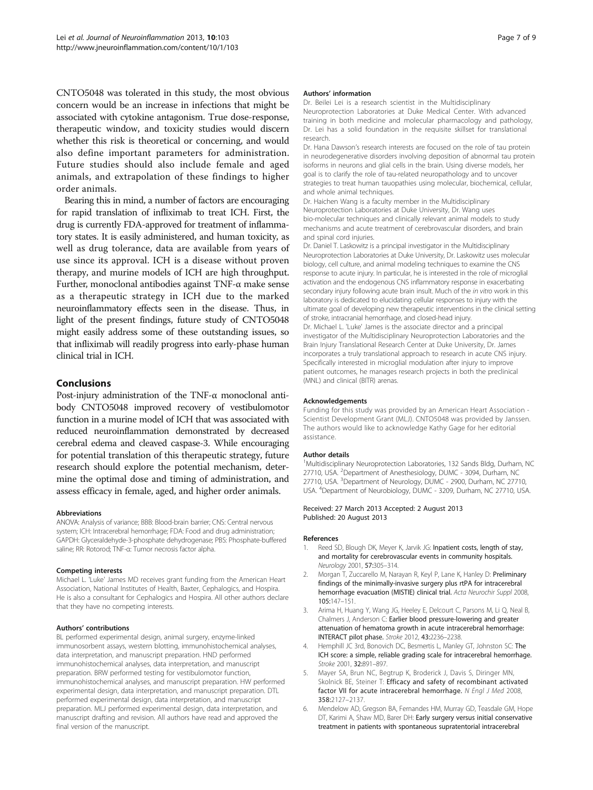<span id="page-6-0"></span>CNTO5048 was tolerated in this study, the most obvious concern would be an increase in infections that might be associated with cytokine antagonism. True dose-response, therapeutic window, and toxicity studies would discern whether this risk is theoretical or concerning, and would also define important parameters for administration. Future studies should also include female and aged animals, and extrapolation of these findings to higher order animals.

Bearing this in mind, a number of factors are encouraging for rapid translation of infliximab to treat ICH. First, the drug is currently FDA-approved for treatment of inflammatory states. It is easily administered, and human toxicity, as well as drug tolerance, data are available from years of use since its approval. ICH is a disease without proven therapy, and murine models of ICH are high throughput. Further, monoclonal antibodies against TNF-α make sense as a therapeutic strategy in ICH due to the marked neuroinflammatory effects seen in the disease. Thus, in light of the present findings, future study of CNTO5048 might easily address some of these outstanding issues, so that infliximab will readily progress into early-phase human clinical trial in ICH.

## Conclusions

Post-injury administration of the TNF-α monoclonal antibody CNTO5048 improved recovery of vestibulomotor function in a murine model of ICH that was associated with reduced neuroinflammation demonstrated by decreased cerebral edema and cleaved caspase-3. While encouraging for potential translation of this therapeutic strategy, future research should explore the potential mechanism, determine the optimal dose and timing of administration, and assess efficacy in female, aged, and higher order animals.

#### Abbreviations

ANOVA: Analysis of variance; BBB: Blood-brain barrier; CNS: Central nervous system; ICH: Intracerebral hemorrhage; FDA: Food and drug administration; GAPDH: Glyceraldehyde-3-phosphate dehydrogenase; PBS: Phosphate-buffered saline; RR: Rotorod; TNF-α: Tumor necrosis factor alpha.

#### Competing interests

Michael L. 'Luke' James MD receives grant funding from the American Heart Association, National Institutes of Health, Baxter, Cephalogics, and Hospira. He is also a consultant for Cephalogics and Hospira. All other authors declare that they have no competing interests.

#### Authors' contributions

BL performed experimental design, animal surgery, enzyme-linked immunosorbent assays, western blotting, immunohistochemical analyses, data interpretation, and manuscript preparation. HND performed immunohistochemical analyses, data interpretation, and manuscript preparation. BRW performed testing for vestibulomotor function, immunohistochemical analyses, and manuscript preparation. HW performed experimental design, data interpretation, and manuscript preparation. DTL performed experimental design, data interpretation, and manuscript preparation. MLJ performed experimental design, data interpretation, and manuscript drafting and revision. All authors have read and approved the final version of the manuscript.

#### Authors' information

Dr. Beilei Lei is a research scientist in the Multidisciplinary Neuroprotection Laboratories at Duke Medical Center. With advanced training in both medicine and molecular pharmacology and pathology, Dr. Lei has a solid foundation in the requisite skillset for translational research.

Dr. Hana Dawson's research interests are focused on the role of tau protein in neurodegenerative disorders involving deposition of abnormal tau protein isoforms in neurons and glial cells in the brain. Using diverse models, her goal is to clarify the role of tau-related neuropathology and to uncover strategies to treat human tauopathies using molecular, biochemical, cellular, and whole animal techniques.

Dr. Haichen Wang is a faculty member in the Multidisciplinary Neuroprotection Laboratories at Duke University, Dr. Wang uses bio-molecular techniques and clinically relevant animal models to study mechanisms and acute treatment of cerebrovascular disorders, and brain and spinal cord injuries.

Dr. Daniel T. Laskowitz is a principal investigator in the Multidisciplinary Neuroprotection Laboratories at Duke University, Dr. Laskowitz uses molecular biology, cell culture, and animal modeling techniques to examine the CNS response to acute injury. In particular, he is interested in the role of microglial activation and the endogenous CNS inflammatory response in exacerbating secondary injury following acute brain insult. Much of the in vitro work in this laboratory is dedicated to elucidating cellular responses to injury with the ultimate goal of developing new therapeutic interventions in the clinical setting of stroke, intracranial hemorrhage, and closed-head injury. Dr. Michael L. 'Luke' James is the associate director and a principal investigator of the Multidisciplinary Neuroprotection Laboratories and the Brain Injury Translational Research Center at Duke University, Dr. James incorporates a truly translational approach to research in acute CNS injury. Specifically interested in microglial modulation after injury to improve patient outcomes, he manages research projects in both the preclinical (MNL) and clinical (BITR) arenas.

#### Acknowledgements

Funding for this study was provided by an American Heart Association - Scientist Development Grant (MLJ). CNTO5048 was provided by Janssen. The authors would like to acknowledge Kathy Gage for her editorial assistance.

#### Author details

<sup>1</sup>Multidisciplinary Neuroprotection Laboratories, 132 Sands Bldg, Durham, NC 27710, USA. <sup>2</sup>Department of Anesthesiology, DUMC - 3094, Durham, NC 27710, USA. <sup>3</sup>Department of Neurology, DUMC - 2900, Durham, NC 27710 USA. <sup>4</sup> Department of Neurobiology, DUMC - 3209, Durham, NC 27710, USA.

#### Received: 27 March 2013 Accepted: 2 August 2013 Published: 20 August 2013

#### References

- 1. Reed SD, Blough DK, Meyer K, Jarvik JG: Inpatient costs, length of stay, and mortality for cerebrovascular events in community hospitals. Neurology 2001, 57:305–314.
- 2. Morgan T, Zuccarello M, Narayan R, Keyl P, Lane K, Hanley D: Preliminary findings of the minimally-invasive surgery plus rtPA for intracerebral hemorrhage evacuation (MISTIE) clinical trial. Acta Neurochir Suppl 2008, 105:147–151.
- 3. Arima H, Huang Y, Wang JG, Heeley E, Delcourt C, Parsons M, Li Q, Neal B, Chalmers J, Anderson C: Earlier blood pressure-lowering and greater attenuation of hematoma growth in acute intracerebral hemorrhage: INTERACT pilot phase. Stroke 2012, 43:2236–2238.
- 4. Hemphill JC 3rd, Bonovich DC, Besmertis L, Manley GT, Johnston SC: The ICH score: a simple, reliable grading scale for intracerebral hemorrhage. Stroke 2001, 32:891–897.
- 5. Mayer SA, Brun NC, Begtrup K, Broderick J, Davis S, Diringer MN, Skolnick BE, Steiner T: Efficacy and safety of recombinant activated factor VII for acute intracerebral hemorrhage. N Engl J Med 2008, 358:2127–2137.
- 6. Mendelow AD, Gregson BA, Fernandes HM, Murray GD, Teasdale GM, Hope DT, Karimi A, Shaw MD, Barer DH: Early surgery versus initial conservative treatment in patients with spontaneous supratentorial intracerebral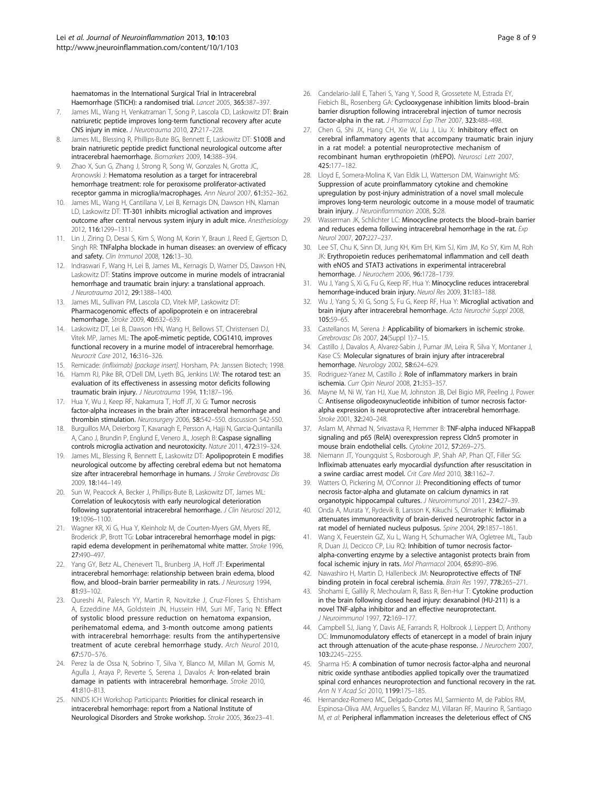<span id="page-7-0"></span>haematomas in the International Surgical Trial in Intracerebral Haemorrhage (STICH): a randomised trial. Lancet 2005, 365:387–397.

- 7. James ML, Wang H, Venkatraman T, Song P, Lascola CD, Laskowitz DT: Brain natriuretic peptide improves long-term functional recovery after acute CNS injury in mice. J Neurotrauma 2010, 27:217–228.
- 8. James ML, Blessing R, Phillips-Bute BG, Bennett E, Laskowitz DT: S100B and brain natriuretic peptide predict functional neurological outcome after intracerebral haemorrhage. Biomarkers 2009, 14:388–394.
- 9. Zhao X, Sun G, Zhang J, Strong R, Song W, Gonzales N, Grotta JC, Aronowski J: Hematoma resolution as a target for intracerebral hemorrhage treatment: role for peroxisome proliferator-activated receptor gamma in microglia/macrophages. Ann Neurol 2007, 61:352–362.
- 10. James ML, Wang H, Cantillana V, Lei B, Kernagis DN, Dawson HN, Klaman LD, Laskowitz DT: TT-301 inhibits microglial activation and improves outcome after central nervous system injury in adult mice. Anesthesiology 2012, 116:1299–1311.
- 11. Lin J, Ziring D, Desai S, Kim S, Wong M, Korin Y, Braun J, Reed E, Gjertson D, Singh RR: TNFalpha blockade in human diseases: an overview of efficacy and safety. Clin Immunol 2008, 126:13-30.
- 12. Indraswari F, Wang H, Lei B, James ML, Kernagis D, Warner DS, Dawson HN, Laskowitz DT: Statins improve outcome in murine models of intracranial hemorrhage and traumatic brain injury: a translational approach. J Neurotrauma 2012, 29:1388–1400.
- 13. James ML, Sullivan PM, Lascola CD, Vitek MP, Laskowitz DT: Pharmacogenomic effects of apolipoprotein e on intracerebral hemorrhage. Stroke 2009, 40:632–639.
- 14. Laskowitz DT, Lei B, Dawson HN, Wang H, Bellows ST, Christensen DJ, Vitek MP, James ML: The apoE-mimetic peptide, COG1410, improves functional recovery in a murine model of intracerebral hemorrhage. Neurocrit Care 2012, 16:316–326.
- 15. Remicade: (infliximab) [package insert]. Horsham, PA: Janssen Biotech; 1998.
- 16. Hamm RJ, Pike BR, O'Dell DM, Lyeth BG, Jenkins LW: The rotarod test: an evaluation of its effectiveness in assessing motor deficits following traumatic brain injury. J Neurotrauma 1994, 11:187-196.
- 17. Hua Y, Wu J, Keep RF, Nakamura T, Hoff JT, Xi G: Tumor necrosis factor-alpha increases in the brain after intracerebral hemorrhage and thrombin stimulation. Neurosurgery 2006, 58:542–550. discussion 542-550.
- 18. Burguillos MA, Deierborg T, Kavanagh E, Persson A, Hajji N, Garcia-Quintanilla A, Cano, J, Brundin P, Englund E, Venero JL, Joseph B: Caspase signalling controls microglia activation and neurotoxicity. Nature 2011, 472:319–324.
- 19. James ML, Blessing R, Bennett E, Laskowitz DT: Apolipoprotein E modifies neurological outcome by affecting cerebral edema but not hematoma size after intracerebral hemorrhage in humans. J Stroke Cerebrovasc Dis 2009, 18:144–149.
- 20. Sun W, Peacock A, Becker J, Phillips-Bute B, Laskowitz DT, James ML: Correlation of leukocytosis with early neurological deterioration following supratentorial intracerebral hemorrhage. J Clin Neurosci 2012, 19:1096–1100.
- 21. Wagner KR, Xi G, Hua Y, Kleinholz M, de Courten-Myers GM, Myers RE, Broderick JP, Brott TG: Lobar intracerebral hemorrhage model in pigs: rapid edema development in perihematomal white matter. Stroke 1996, 27:490–497.
- 22. Yang GY, Betz AL, Chenevert TL, Brunberg JA, Hoff JT: Experimental intracerebral hemorrhage: relationship between brain edema, blood flow, and blood-brain barrier permeability in rats. J Neurosurg 1994, 81:93–102.
- 23. Qureshi AI, Palesch YY, Martin R, Novitzke J, Cruz-Flores S, Ehtisham A, Ezzeddine MA, Goldstein JN, Hussein HM, Suri MF, Tariq N: Effect of systolic blood pressure reduction on hematoma expansion, perihematomal edema, and 3-month outcome among patients with intracerebral hemorrhage: results from the antihypertensive treatment of acute cerebral hemorrhage study. Arch Neurol 2010, 67:570–576.
- 24. Perez la de Ossa N, Sobrino T, Silva Y, Blanco M, Millan M, Gomis M, Agulla J, Araya P, Reverte S, Serena J, Davalos A: Iron-related brain damage in patients with intracerebral hemorrhage. Stroke 2010, 41:810–813.
- 25. NINDS ICH Workshop Participants: Priorities for clinical research in intracerebral hemorrhage: report from a National Institute of Neurological Disorders and Stroke workshop. Stroke 2005, 36:e23–41.
- 26. Candelario-Jalil E, Taheri S, Yang Y, Sood R, Grossetete M, Estrada EY, Fiebich BL, Rosenberg GA: Cyclooxygenase inhibition limits blood–brain barrier disruption following intracerebral injection of tumor necrosis factor-alpha in the rat. J Pharmacol Exp Ther 2007, 323:488-498.
- 27. Chen G, Shi JX, Hang CH, Xie W, Liu J, Liu X: Inhibitory effect on cerebral inflammatory agents that accompany traumatic brain injury in a rat model: a potential neuroprotective mechanism of recombinant human erythropoietin (rhEPO). Neurosci Lett 2007, 425:177–182.
- 28. Lloyd E, Somera-Molina K, Van Eldik LJ, Watterson DM, Wainwright MS: Suppression of acute proinflammatory cytokine and chemokine upregulation by post-injury administration of a novel small molecule improves long-term neurologic outcome in a mouse model of traumatic brain injury. J Neuroinflammation 2008, 5:28.
- 29. Wasserman JK, Schlichter LC: Minocycline protects the blood-brain barrier and reduces edema following intracerebral hemorrhage in the rat. Exp Neurol 2007, 207:227–237.
- Lee ST, Chu K, Sinn DI, Jung KH, Kim EH, Kim SJ, Kim JM, Ko SY, Kim M, Roh JK: Erythropoietin reduces perihematomal inflammation and cell death with eNOS and STAT3 activations in experimental intracerebral hemorrhage. J Neurochem 2006, 96:1728–1739.
- 31. Wu J, Yang S, Xi G, Fu G, Keep RF, Hua Y: Minocycline reduces intracerebral hemorrhage-induced brain injury. Neurol Res 2009, 31:183–188.
- 32. Wu J, Yang S, Xi G, Song S, Fu G, Keep RF, Hua Y: Microglial activation and brain injury after intracerebral hemorrhage. Acta Neurochir Suppl 2008, 105:59–65.
- 33. Castellanos M, Serena J: Applicability of biomarkers in ischemic stroke. Cerebrovasc Dis 2007, 24(Suppl 1):7–15.
- 34. Castillo J, Davalos A, Alvarez-Sabin J, Pumar JM, Leira R, Silva Y, Montaner J, Kase CS: Molecular signatures of brain injury after intracerebral hemorrhage. Neurology 2002, 58:624–629.
- 35. Rodriguez-Yanez M, Castillo J: Role of inflammatory markers in brain ischemia. Curr Opin Neurol 2008, 21:353–357.
- 36. Mayne M, Ni W, Yan HJ, Xue M, Johnston JB, Del Bigio MR, Peeling J, Power C: Antisense oligodeoxynucleotide inhibition of tumor necrosis factoralpha expression is neuroprotective after intracerebral hemorrhage. Stroke 2001, 32:240–248.
- 37. Aslam M, Ahmad N, Srivastava R, Hemmer B: TNF-alpha induced NFkappaB signaling and p65 (RelA) overexpression repress Cldn5 promoter in mouse brain endothelial cells. Cytokine 2012, 57:269–275.
- 38. Niemann JT, Youngquist S, Rosborough JP, Shah AP, Phan QT, Filler SG: Infliximab attenuates early myocardial dysfunction after resuscitation in a swine cardiac arrest model. Crit Care Med 2010, 38:1162–7.
- 39. Watters O, Pickering M, O'Connor JJ: Preconditioning effects of tumor necrosis factor-alpha and glutamate on calcium dynamics in rat organotypic hippocampal cultures. J Neuroimmunol 2011, 234:27–39.
- 40. Onda A, Murata Y, Rydevik B, Larsson K, Kikuchi S, Olmarker K: Infliximab attenuates immunoreactivity of brain-derived neurotrophic factor in a rat model of herniated nucleus pulposus. Spine 2004, 29:1857–1861.
- 41. Wang X, Feuerstein GZ, Xu L, Wang H, Schumacher WA, Ogletree ML, Taub R, Duan JJ, Decicco CP, Liu RQ: Inhibition of tumor necrosis factoralpha-converting enzyme by a selective antagonist protects brain from focal ischemic injury in rats. Mol Pharmacol 2004, 65:890–896.
- Nawashiro H, Martin D, Hallenbeck JM: Neuroprotective effects of TNF binding protein in focal cerebral ischemia. Brain Res 1997, 778:265–271.
- 43. Shohami E, Gallily R, Mechoulam R, Bass R, Ben-Hur T: Cytokine production in the brain following closed head injury: dexanabinol (HU-211) is a novel TNF-alpha inhibitor and an effective neuroprotectant. J Neuroimmunol 1997, 72:169–177.
- 44. Campbell SJ, Jiang Y, Davis AE, Farrands R, Holbrook J, Leppert D, Anthony DC: Immunomodulatory effects of etanercept in a model of brain injury act through attenuation of the acute-phase response. J Neurochem 2007, 103:2245–2255.
- 45. Sharma HS: A combination of tumor necrosis factor-alpha and neuronal nitric oxide synthase antibodies applied topically over the traumatized spinal cord enhances neuroprotection and functional recovery in the rat. Ann N Y Acad Sci 2010, 1199:175–185.
- 46. Hernandez-Romero MC, Delgado-Cortes MJ, Sarmiento M, de Pablos RM, Espinosa-Oliva AM, Arguelles S, Bandez MJ, Villaran RF, Maurino R, Santiago M, et al: Peripheral inflammation increases the deleterious effect of CNS